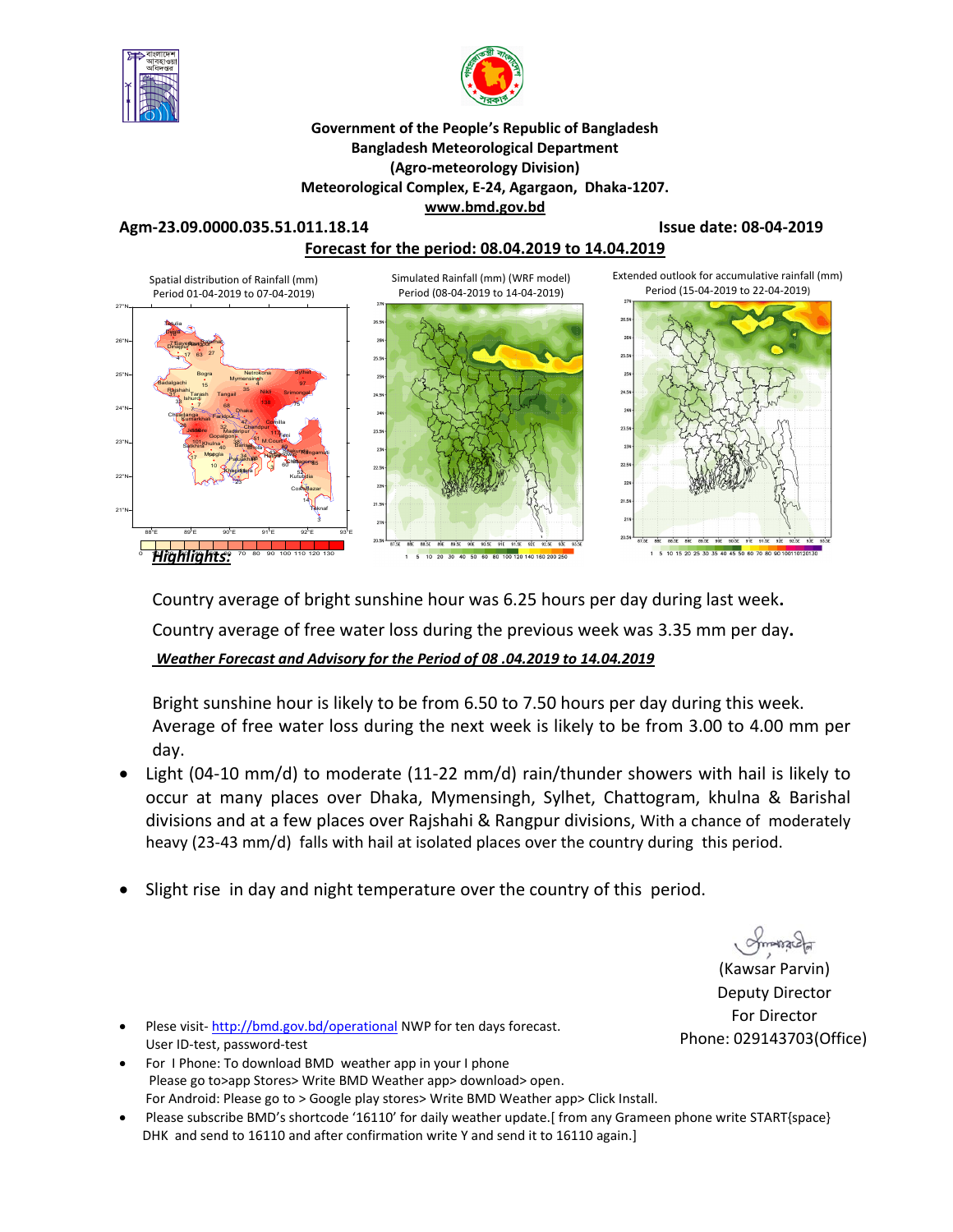



**Government of the People's Republic of Bangladesh Bangladesh Meteorological Department (Agro-meteorology Division) Meteorological Complex, E-24, Agargaon, Dhaka-1207. www.bmd.gov.bd** 

**Agm-23.09.0000.035.51.011.18.14 Issue date: 08-04-2019**

**Forecast for the period: 08.04.2019 to 14.04.2019**



Country average of bright sunshine hour was 6.25 hours per day during last week**.** Country average of free water loss during the previous week was 3.35 mm per day**.**  *Weather Forecast and Advisory for the Period of 08 .04.2019 to 14.04.2019*

Bright sunshine hour is likely to be from 6.50 to 7.50 hours per day during this week. Average of free water loss during the next week is likely to be from 3.00 to 4.00 mm per day.

- Light (04-10 mm/d) to moderate (11-22 mm/d) rain/thunder showers with hail is likely to occur at many places over Dhaka, Mymensingh, Sylhet, Chattogram, khulna & Barishal divisions and at a few places over Rajshahi & Rangpur divisions, With a chance of moderately heavy (23-43 mm/d) falls with hail at isolated places over the country during this period.
- Slight rise in day and night temperature over the country of this period.

*Americal*<br>(Kawsar Parvin) Deputy Director For Director Phone: 029143703(Office)

- Plese visit- http://bmd.gov.bd/operational NWP for ten days forecast. User ID-test, password-test
- For I Phone: To download BMD weather app in your I phone Please go to>app Stores> Write BMD Weather app> download> open. For Android: Please go to > Google play stores> Write BMD Weather app> Click Install.
- Please subscribe BMD's shortcode '16110' for daily weather update.[ from any Grameen phone write START{space} DHK and send to 16110 and after confirmation write Y and send it to 16110 again.]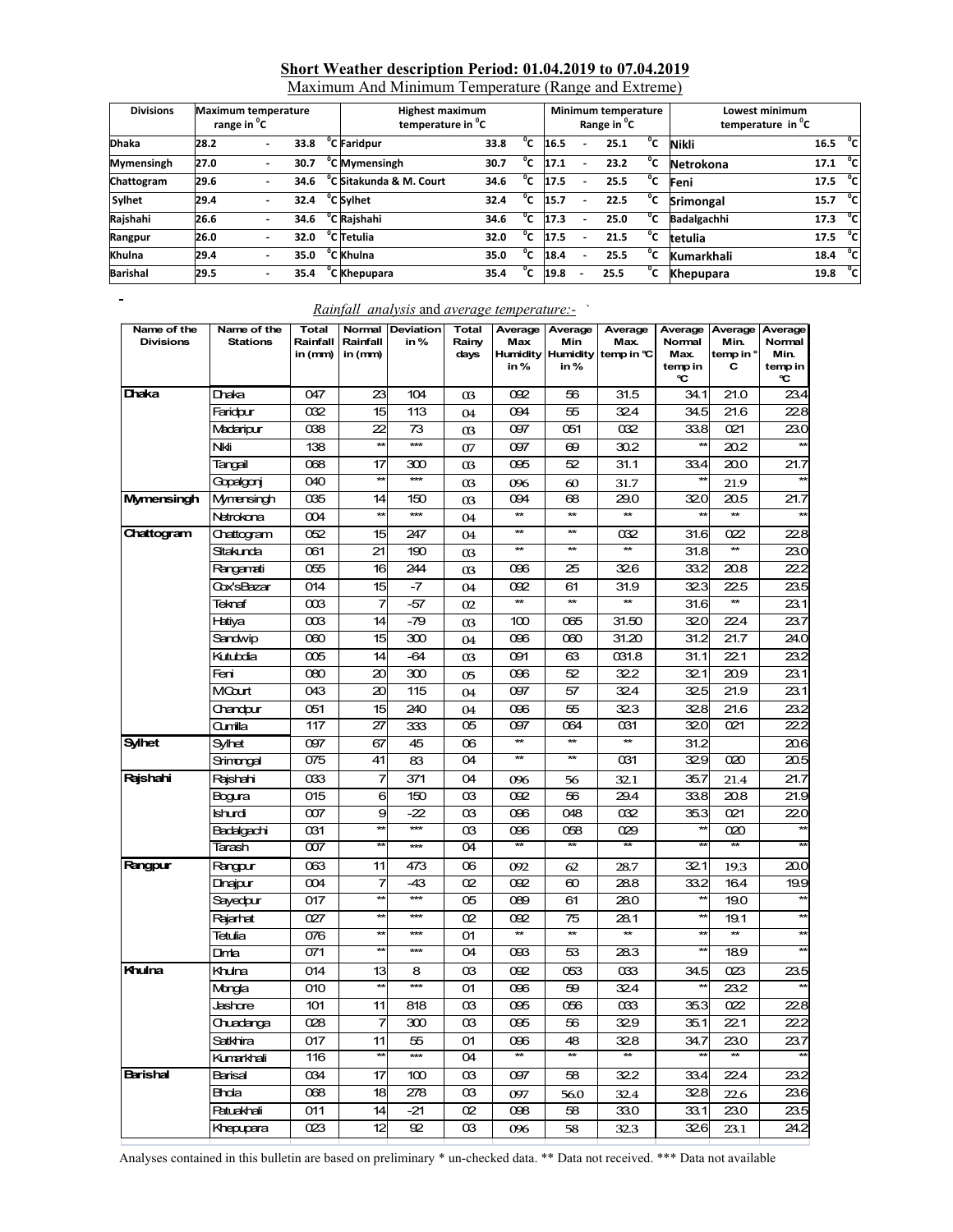### **Short Weather description Period: 01.04.2019 to 07.04.2019**

| Maximum And Minimum Temperature (Range and Extreme) |  |
|-----------------------------------------------------|--|
|                                                     |  |

| <b>Divisions</b> | <b>Maximum temperature</b><br>range in <sup>o</sup> C |   |      |  | <b>Highest maximum</b><br>temperature in <sup>o</sup> C |      |    |      |   | Minimum temperature<br>Range in <sup>o</sup> C |                | Lowest minimum<br>temperature in <sup>o</sup> C |      |               |
|------------------|-------------------------------------------------------|---|------|--|---------------------------------------------------------|------|----|------|---|------------------------------------------------|----------------|-------------------------------------------------|------|---------------|
| <b>Dhaka</b>     | 28.2                                                  |   | 33.8 |  | <sup>o</sup> C Faridpur                                 | 33.8 | ΄C | 16.5 |   | 25.1                                           | °c             | <b>Nikli</b>                                    | 16.5 | °cl           |
| Mymensingh       | 27.0                                                  |   | 30.7 |  | <sup>o</sup> C Mymensingh                               | 30.7 | ΄C | 17.1 |   | 23.2                                           | °c             | Netrokona                                       | 17.1 | ்ட            |
| Chattogram       | 29.6                                                  | - | 34.6 |  | C Sitakunda & M. Court                                  | 34.6 | °c | 17.5 |   | 25.5                                           | $^{\circ}$ c   | Feni                                            | 17.5 | $^{\circ}$ cl |
| Sylhet           | 29.4                                                  |   | 32.4 |  | °C Sylhet                                               | 32.4 | °C | 15.7 |   | 22.5                                           | °c             | <b>Srimongal</b>                                | 15.7 | °cl           |
| Rajshahi         | 26.6                                                  |   | 34.6 |  | <sup>o</sup> C Rajshahi                                 | 34.6 | ۰c | 17.3 |   | 25.0                                           | °c             | <b>Badalgachhi</b>                              | 17.3 | $^{\circ}$ cl |
| Rangpur          | 26.0                                                  | - | 32.0 |  | °C Tetulia                                              | 32.0 | 'c | 17.5 | ۰ | 21.5                                           | $^{\circ}$     | tetulia                                         | 17.5 | $\mathbf{C}$  |
| Khulna           | 29.4                                                  | - | 35.0 |  | °C Khulna                                               | 35.0 | °c | 18.4 |   | 25.5                                           | °c             | <b>Kumarkhali</b>                               | 18.4 | °cl           |
| Barishal         | 29.5                                                  |   | 35.4 |  | 'C Khepupara                                            | 35.4 | 'C | 19.8 |   | 25.5                                           | $\mathfrak{g}$ | <b>Khepupara</b>                                | 19.8 | $^{\circ}$ c  |

| Name of the<br><b>Divisions</b> | Name of the<br><b>Stations</b> | Total<br>Rainfall<br>in (mm) | Normal<br>Rainfall<br>in (mm) | <b>Deviation</b><br>in % | Total<br>Rainy<br>days | Average<br>Max<br>in% | Average<br>Min<br>in% | Average<br>Max.<br>Humidity Humidity temp in °C | Average<br>Normal<br>Max.<br>temp in<br>℃ | Min.<br>temp in °<br>С | Average Average<br>Normal<br>Min.<br>temp in<br>C |
|---------------------------------|--------------------------------|------------------------------|-------------------------------|--------------------------|------------------------|-----------------------|-----------------------|-------------------------------------------------|-------------------------------------------|------------------------|---------------------------------------------------|
| Dhaka                           | Dhaka                          | 047                          | 23                            | 104                      | 03                     | 092                   | 56                    | 31.5                                            | 34.1                                      | 21.0                   | 23.4                                              |
|                                 | Faridour                       | 032                          | 15                            | 113                      | 04                     | 094                   | 55                    | 324                                             | 34.5                                      | 21.6                   | 22.8                                              |
|                                 | Madaripur                      | 038                          | 22                            | 73                       | 03                     | 097                   | 051                   | 032                                             | 33.8                                      | 021                    | 23.0                                              |
|                                 | Nki                            | 138                          | $\star\star$                  | $\star\star\star$        | 07                     | 097                   | 69                    | 30.2                                            |                                           | 20.2                   |                                                   |
|                                 | Tangail                        | 068                          | 17                            | 300                      | 03                     | 095                   | 52                    | 31.1                                            | 33.4                                      | 20.0                   | 21.7                                              |
|                                 | Gopalgoni                      | 040                          | $\star\star$                  | $***$                    | 03                     | 096                   | 60                    | 31.7                                            | $\star\star$                              | 21.9                   | $\star\star$                                      |
| Mymensingh                      | Mymensingh                     | 035                          | 14                            | 150                      | 03                     | 094                   | 68                    | 29.0                                            | 32.0                                      | 20.5                   | 21.7                                              |
|                                 | Netrokona                      | 004                          | $\star\star$                  | $\star\star\star$        | 04                     | $\star\star$          |                       |                                                 |                                           | $\star\star$           | $\star\star$                                      |
| Chattogram                      | Chattogram                     | 052                          | 15                            | 247                      | 04                     | $\star\star$          | $\star\star$          | 032                                             | 31.6                                      | 022                    | 22.8                                              |
|                                 | Sitakunda                      | 061                          | 21                            | 190                      | 03                     | $\star\star$          | $\star\star$          | $\star\star$                                    | 31.8                                      | $\star\star$           | 23.0                                              |
|                                 | Rangamati                      | 055                          | 16                            | 244                      | O <sub>3</sub>         | 096                   | 25                    | 326                                             | 33.2                                      | 20.8                   | 22.2                                              |
|                                 | Cox'sBazar                     | 014                          | 15                            | -7                       | 04                     | 092                   | 61                    | 31.9                                            | 323                                       | 225                    | 23.5                                              |
|                                 | Teknaf                         | $\infty$                     | 7                             | -57                      | 02                     | $\star\star$          | $\star\star$          | $\star\star$                                    | 31.6                                      | **                     | 23.1                                              |
|                                 | Hatiya                         | œз                           | 14                            | $-79$                    | 03                     | 100                   | 065                   | 31.50                                           | 320                                       | 22.4                   | 23.7                                              |
|                                 | Sandwip                        | œю                           | 15                            | 300                      | 04                     | 096                   | 060                   | 31.20                                           | 31.2                                      | 21.7                   | 24.0                                              |
|                                 | Kutubdia                       | 005                          | 14                            | -64                      | 03                     | 091                   | 63                    | 031.8                                           | 31.1                                      | 22.1                   | 23.2                                              |
|                                 | Feni                           | 080                          | 20                            | 300                      | 05                     | 096                   | 52                    | 322                                             | 32.1                                      | 20.9                   | 23.1                                              |
|                                 | MCourt                         | 043                          | 20                            | 115                      | 04                     | 097                   | 57                    | 324                                             | 32.5                                      | 21.9                   | 23.1                                              |
|                                 | Chandpur                       | 051                          | 15                            | 240                      | 04                     | 096                   | 55                    | 323                                             | 32.8                                      | 21.6                   | 23.2                                              |
|                                 | Qumilla                        | 117                          | 27                            | 333                      | O5                     | 097                   | 064                   | 031                                             | 320                                       | 021                    | 22.2                                              |
| <b>Sylhet</b>                   | Sylhet                         | 097                          | 67                            | 45                       | œ.                     | $\star\star$          | $\star\star$          | $\star\star$                                    | 31.2                                      |                        | 20.6                                              |
|                                 | Srimongal                      | 075                          | 41                            | 83                       | O4                     | ¥                     | $\star\star$          | 031                                             | 32.9                                      | 020                    | 20.5                                              |
| Rajshahi                        | Raishahi                       | œз                           | 7                             | 371                      | O4                     | 096                   | 56                    | 32.1                                            | 35.7                                      | 21.4                   | 21.7                                              |
|                                 | Bogura                         | 015                          | 6                             | 150                      | œ                      | 092                   | 56                    | 29.4                                            | 33.8                                      | 20.8                   | 21.9                                              |
|                                 | Ishurdi                        | 007                          | 9                             | -22                      | œ                      | 096                   | 048                   | 032                                             | 35.3                                      | 021                    | 220                                               |
|                                 | Badalgachi                     | 031                          | **                            | $\star\star\star$        | œ                      | 096                   | 058                   | 029                                             | $\star\star$                              | 020                    | $\star\star$                                      |
|                                 | Tarash                         | 007                          | **                            | ***                      | O4                     | ¥                     | ¥                     | ¥                                               | $\star\star$                              | <b>**</b>              | 荠                                                 |
| Rangpur                         | Rangpur                        | 063                          | 11                            | 473                      | 06                     | 092                   | 62                    | 28.7                                            | 32.1                                      | 19.3                   | 20.0                                              |
|                                 | Dinajpur                       | 004                          | 7                             | -43                      | œ                      | 092                   | 60                    | 28.8                                            | 33.2                                      | 16.4                   | 19.9                                              |
|                                 | Sayedpur                       | 017                          | **                            | ***                      | 05                     | 089                   | 61                    | 28.0                                            | $\star\star$                              | 19.0                   | **                                                |
|                                 | Rajarhat                       | 027                          | **                            | ***                      | œ.                     | 092                   | 75                    | 28.1                                            | $\star\star$                              | 19.1                   | $\star\star$                                      |
|                                 | Tetulia                        | 076                          | **                            | ***                      | 01                     | $\star\star$          | $\star\star$          | $\star\star$                                    | $\star\star$                              | $\star\star$           | $\star\star$                                      |
|                                 | Dimta                          | 071                          | **                            | ***                      | 04                     | 093                   | 53                    | 28.3                                            | **                                        | 18.9                   | $\star\star$                                      |
| Khulna                          | Khulna                         | 014                          | 13                            | 8                        | œ                      | 092                   | 053                   | œз                                              | 34.5                                      | O23                    | 23.5                                              |
|                                 | Mongla                         | 010                          | $\star\star$                  | ***                      | 01                     | 096                   | 59                    | 324                                             | ₩                                         | 23.2                   |                                                   |
|                                 | Jashore                        | 101                          | 11                            | 818                      | œ                      | 095                   | 056                   | $\alpha$ 33                                     | 35.3                                      | 022                    | 22.8                                              |
|                                 | Chuadanga                      | 028                          | 7                             | 300                      | œ                      | 095                   | 56                    | 329                                             | 35.1                                      | 22.1                   | 22.2                                              |
|                                 | Satkhira                       | 017                          | 11                            | 55                       | 01                     | 096                   | 48                    | 328                                             | 34.7                                      | 23.0                   | 23.7                                              |
|                                 | Kumarkhali                     | 116                          | $\star\star$                  | $\star\star\star$        | 04                     | $\star$               | $\star\star$          |                                                 |                                           |                        | 太太                                                |
| Barishal                        | Barisal                        | 034                          | 17                            | 100                      | œ                      | 097                   | 58                    | 322                                             | 33.4                                      | 22.4                   | 23.2                                              |
|                                 | Bhola                          | 068                          | 18                            | 278                      | œ                      | 097                   | 56.0                  | 32.4                                            | 32.8                                      | 22.6                   | 23.6                                              |
|                                 | Patuakhali                     | 011                          | 14                            | -21                      | œ.                     | 098                   | 58                    | 33.0                                            | 33.1                                      | 23.0                   | 23.5                                              |
|                                 | Khepupara                      | 023                          | 12                            | 92                       | œ                      | 096                   | 58                    | 32.3                                            | 326                                       | 23.1                   | 24.2                                              |

#### *Rainfall analysis* and *average temperature:-* `

 $\overline{a}$ 

Analyses contained in this bulletin are based on preliminary \* un-checked data. \*\* Data not received. \*\*\* Data not available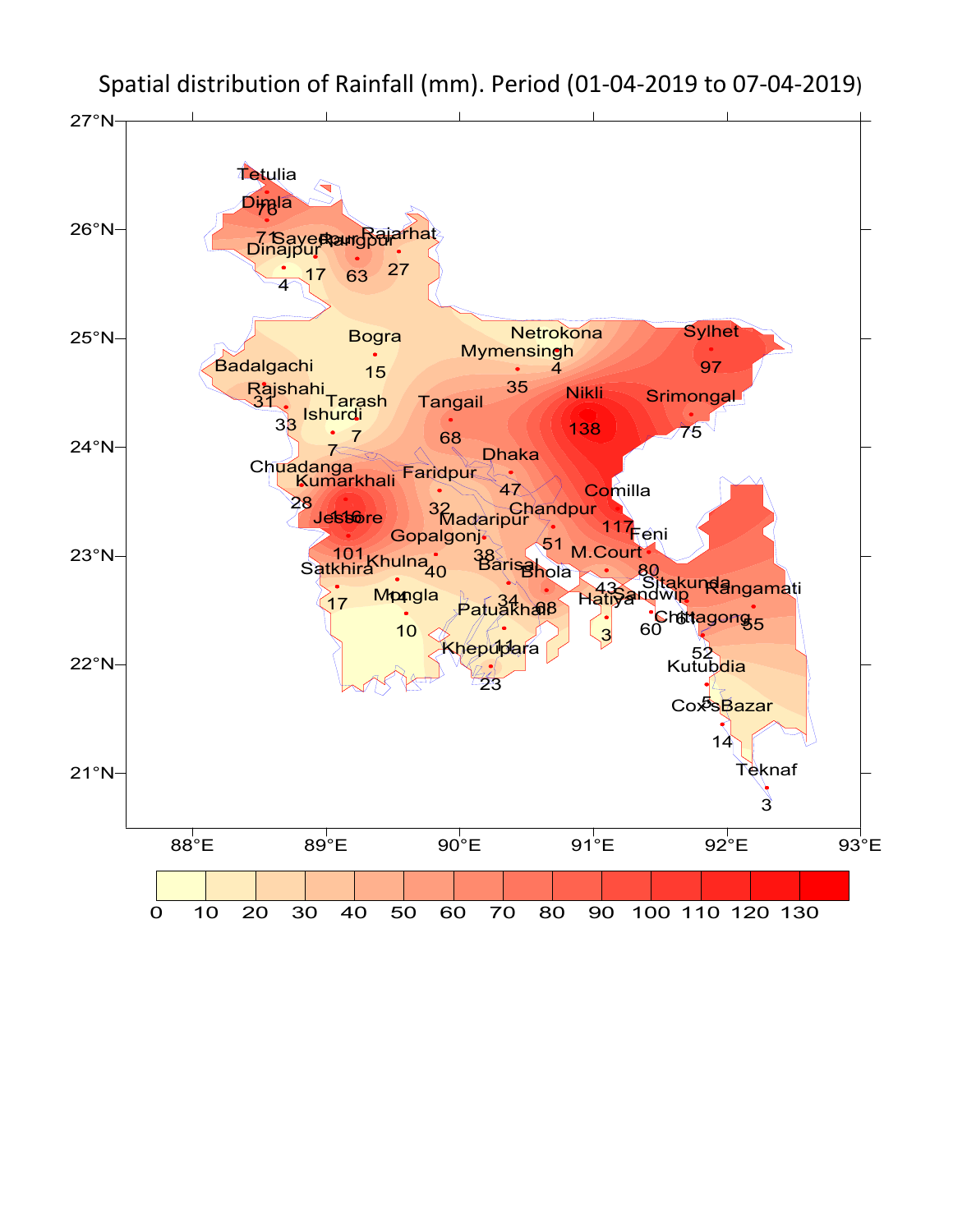

Spatial distribution of Rainfall (mm). Period (01-04-2019 to 07-04-2019)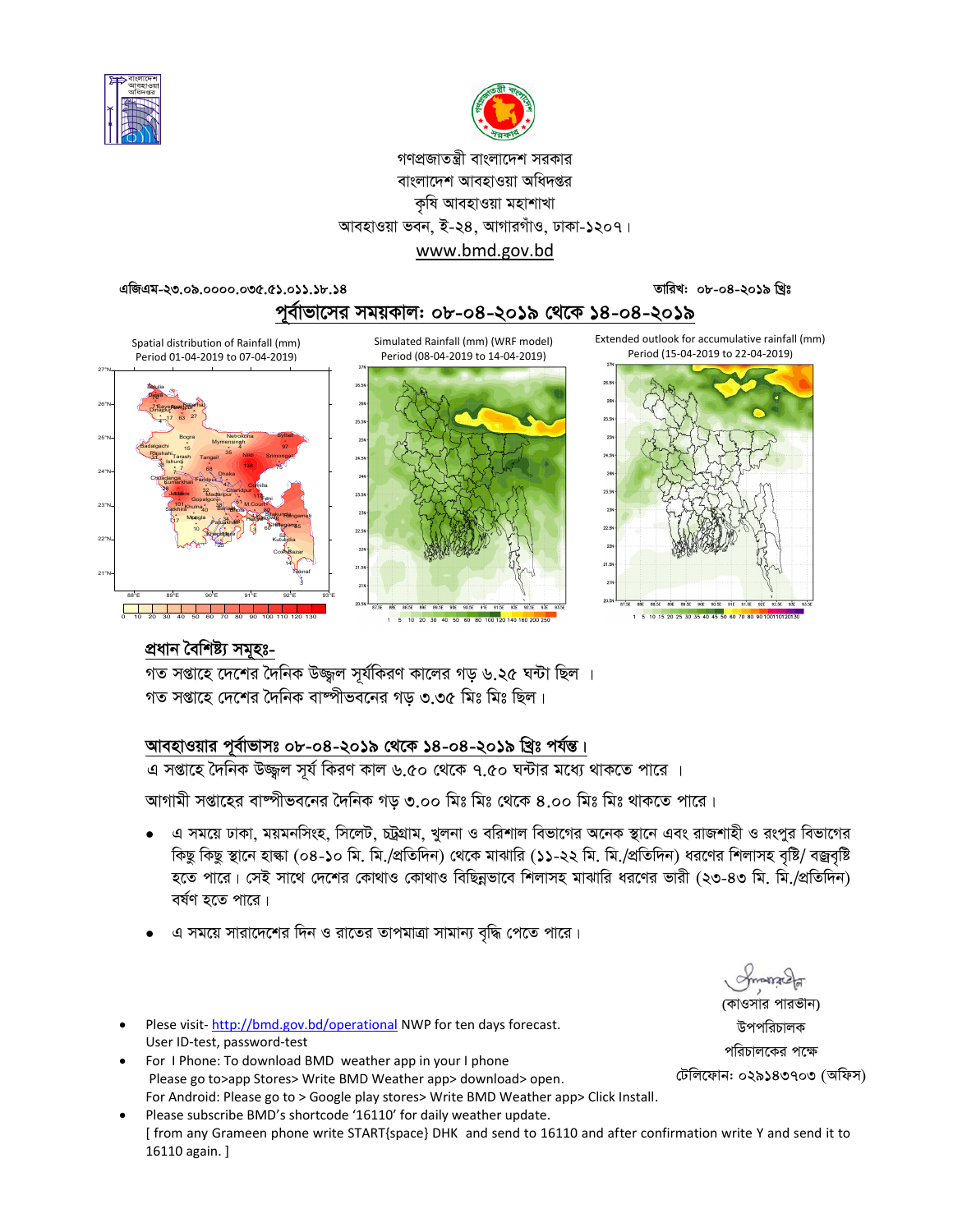



# গণপ্রজাতন্ত্রী বাংলাদেশ সরকার বাংলাদেশ আবহাওয়া অধিদপ্তর কৃষি আবহাওয়া মহাশাখা আবহাওয়া ভবন, ই-২৪, আগারগাঁও, ঢাকা-১২০৭।

#### www.bmd.gov.bd

তারিখ: ০৮-০৪-২০১৯ খ্রিঃ

এজিএম-২৩.০৯.০০০০.০৩৫.৫১.০১১.১৮.১৪



Simulated Rainfall (mm) (WRF model)









Extended outlook for accumulative rainfall (mm) Period (15-04-2019 to 22-04-2019)



1 5 10 15 20 25 30 35 40 45 50 60 70 80 90

## প্ৰধান বৈশিষ্ট্য সমূহঃ-

গত সপ্তাহে দেশের দৈনিক বাষ্পীভবনের গড় ৩.৩৫ মিঃ মিঃ ছিল।

## আবহাওয়ার পূর্বাভাসঃ ০৮-০৪-২০১৯ থেকে ১৪-০৪-২০১৯ খ্রিঃ পর্যন্ত।

এ সপ্তাহে দৈনিক উজ্জুল সূর্য কিরণ কাল ৬.৫০ থেকে ৭.৫০ ঘন্টার মধ্যে থাকতে পারে ।

আগামী সপ্তাহের বাঙ্গীভবনের দৈনিক গড় ৩.০০ মিঃ মিঃ থেকে ৪.০০ মিঃ মিঃ থাকতে পারে।

- এ সময়ে ঢাকা, ময়মনসিংহ, সিলেট, চট্রগ্রাম, খুলনা ও বরিশাল বিভাগের অনেক স্থানে এবং রাজশাহী ও রংপুর বিভাগের কিছু কিছু স্থানে হাল্কা (০৪-১০ মি. মি./প্রতিদিন) থেকে মাঝারি (১১-২২ মি. মি./প্রতিদিন) ধরণের শিলাসহ বৃষ্টি/ বজ্রবৃষ্টি হতে পারে। সেই সাথে দেশের কোথাও কোথাও বিছিন্নভাবে শিলাসহ মাঝারি ধরণের ভারী (২৩-৪৩ মি. মি./প্রতিদিন) বৰ্ষণ হতে পাৱে।
- এ সময়ে সারাদেশের দিন ও রাতের তাপমাত্রা সামান্য বৃদ্ধি পেতে পারে।
- Plese visit-http://bmd.gov.bd/operational NWP for ten days forecast. User ID-test, password-test
- For I Phone: To download BMD weather app in your I phone Please go to>app Stores> Write BMD Weather app> download> open. For Android: Please go to > Google play stores> Write BMD Weather app> Click Install.
- Please subscribe BMD's shortcode '16110' for daily weather update. [from any Grameen phone write START{space} DHK and send to 16110 and after confirmation write Y and send it to 16110 again.]

(কাওসার পারভীন) উপপরিচালক পরিচালকের পক্ষে

টেলিফোন: ০২৯১৪৩৭০৩ (অফিস)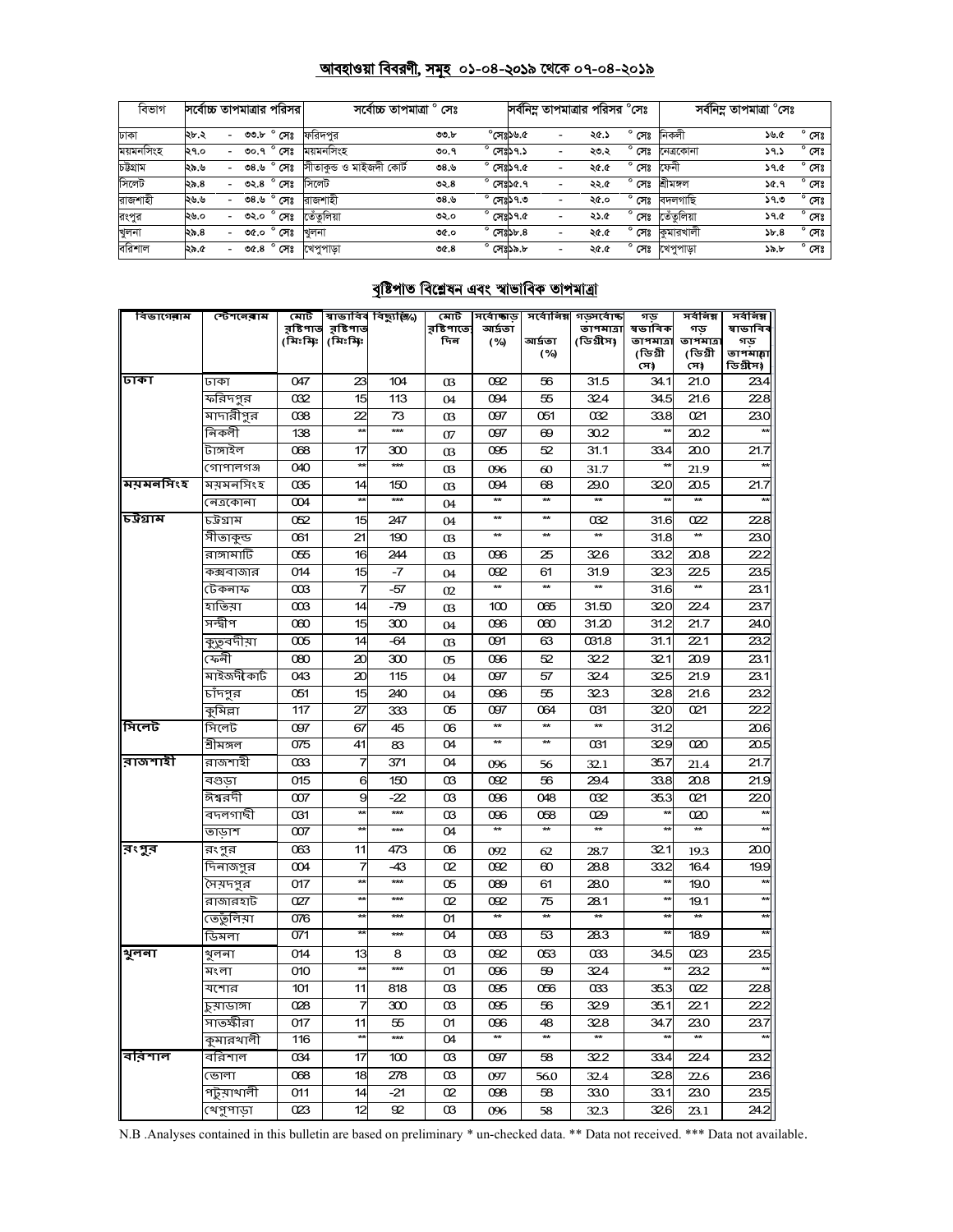#### <u> আবহাওয়া বিবরণী, সমূহ ০১-০৪-২০১৯ থেকে ০৭-০৪-২০১৯</u>

| বিভাগ     | সর্বোচ্চ তাপমাত্রার পরিসর |   |         |                     | সৰ্বোচ্চ তাপমাত্ৰা ° সেঃ |         |                    |                              | সর্বনিম তাপমাত্রার পরিসর °সেঃ |      |                | সর্বনিম্ন তাপমাত্রা °সেঃ |      |                |
|-----------|---------------------------|---|---------|---------------------|--------------------------|---------|--------------------|------------------------------|-------------------------------|------|----------------|--------------------------|------|----------------|
| ঢাকা      | ২৮.২                      |   | ৩৩,৮    | $^{\circ}$ সেঃ      | ফরিদপর                   | 00.b    |                    | $^{\circ}$ পেঃস্ত $^{\circ}$ | $\overline{\phantom{a}}$      | ২৫.১ | $^{\circ}$ সেঃ | নিকলী                    | ১৬.৫ | $^{\circ}$ সেঃ |
| ময়মনসিংহ | ২৭.০                      |   | ৩০.৭    | $^{\circ}$ সেঃ      | ময়মনসিংহ                | ৩০.৭    | $^{\circ}$ সেঃ১৭.১ |                              | $\overline{\phantom{a}}$      | ২৩.২ | ົ<br>সেঃ       | নেত্ৰকোনা                | ১৭.১ | $^{\circ}$ সেঃ |
| চউগ্ৰাম   | ২৯.৬                      | - | ৩ $8.9$ | $^{\circ}$ সেঃ      | সীতাকৃন্ড ও মাইজদী কোর্ট | ৩৪.৬    | $^{\circ}$ সেঃ১৭.৫ |                              | $\overline{\phantom{a}}$      | ২৫.৫ | $^{\circ}$ সেঃ | ফেনী                     | ১৭.৫ | $^{\circ}$ সেঃ |
| সিলেট     | ২৯.৪                      |   | ৩২.৪    | $^{\circ}$ সেঃ      | সিলেট                    | ৩২. $8$ | $^{\circ}$ সেঃ১৫.৭ |                              | $\overline{\phantom{a}}$      | ২২.৫ | $^{\circ}$ সেঃ | শ্ৰীমঙ্গল                | ১৫.৭ | $^{\circ}$ সেঃ |
| রাজশাহী   | ২৬.৬                      |   | ৩৪.৬    | $^{\circ}$ সেঃ      | রাজশাহী                  | ৩৪.৬    | $^{\circ}$ সেঃ১৭.৩ |                              | $\overline{\phantom{a}}$      | ২৫.০ | $^{\circ}$ সেঃ | বদলগাছি                  | ১৭.৩ | $^{\circ}$ সেঃ |
| রংপুর     | ২৬.০                      |   | ৩২.০    | $^{\circ}$ সেঃ      | তেঁতলিয়া                | ৩২.০    | $^{\circ}$ সেঃ১৭.৫ |                              | $\overline{\phantom{a}}$      | ২১.৫ | ۰<br>সেঃ       | তেঁতলিয়া                | ১৭.৫ | $^{\circ}$ সেঃ |
| খুলনা     | ২৯.৪                      |   | ৩৫.০    | $^{\circ}$ সেঃ      | খলনা                     | ৩৫.০    | $^{\circ}$ সেঃ১৮.৪ |                              | $\overline{\phantom{a}}$      | ২৫.৫ | সেঃ            | কুমারখালী                | 5b.8 | $^{\circ}$ সেঃ |
| বরিশাল    | ১.৯.৫                     | - |         | ৩৫.৪ $^{\circ}$ সেঃ | খেপপাডা                  | O(6.8)  | $^{\circ}$ সেঃ১৯.৮ |                              | $\overline{\phantom{a}}$      | ২৫.৫ | ۰<br>সেঃ       | খেপুপাড়া                | ১৯.৮ | $^{\circ}$ সেঃ |

## <u>বৃষ্টিপাত বিশ্লেষন এবং স্বাভাবিক তাপমাত্রা</u>

| বিভাগেৰাম | স্টেশ <b>লেৰা</b> ম | মোট                 |                      | স্বাভাবিৰ বিছ্যুষ্ঠি⁄) | মোট               | সৰ্বোজ্ঞড         | সর্বোনিম্ন        | গড়সৰ্বোষ্ক            | গড                      | সৰ্বনিম্ন        | সৰ্বনিম্ন        |
|-----------|---------------------|---------------------|----------------------|------------------------|-------------------|-------------------|-------------------|------------------------|-------------------------|------------------|------------------|
|           |                     | রষ্টিপাত<br>(মিঃমিঃ | র়ষ্টিপাত<br>(মিঃমিঃ |                        | রষ্টিপাতে:<br>দিন | আৰ্দ্ৰতা<br>(%)   | আৰ্দ্ৰতা          | তাপমাত্রা<br>(ডিগ্রীস) | ষভাবিক<br>তাপমাত্রা     | গড<br>তাপমাত্র   | ষাভাবিব<br>গড    |
|           |                     |                     |                      |                        |                   |                   | (%)               |                        | (ডিগ্ৰী                 | (ডিগ্ৰী          | তাপমাচ্বা        |
|           |                     |                     |                      |                        |                   |                   |                   |                        | সে)                     | সে)              | ডিগ্ৰীস)         |
| ঢাকা      | ঢাকা                | 047                 | 23                   | 104                    | 03                | 092               | 56                | 31.5                   | 34.1                    | 21.0             | 23.4             |
|           | ফরিদপুর             | 032                 | 15                   | 113                    | 04                | 094               | 55                | 324                    | 34.5                    | 21.6             | 228              |
|           | মাদারীপুর           | 038                 | 22                   | 73                     | 03                | 097               | 051               | 032                    | 33.8                    | 021              | 23.0             |
|           | নিকলী               | 138                 | $\star$              | $***$                  | 07                | 097               | 69                | 30.2                   | Ħ                       | 20.2             |                  |
|           | টাঙ্গাইল            | 068                 | 17                   | 300                    | 03                | 095               | 52                | 31.1                   | 33.4                    | 20.0             | 21.7             |
|           | গোপালগঞ্জ           | 040                 | ŵ                    | $***$                  | 03                | 096               | 60                | 31.7                   |                         | 21.9             |                  |
| ময়মনসিংহ | ময়মনসিংহ           | 035                 | 14                   | 150                    | 03                | 094               | 68                | 29.0                   | 320                     | 20.5             | 21.7             |
|           | নেত্ৰকোনা           | 004                 | ÷                    | $***$                  | 04                | $\star\star$      | $\star\star$      |                        |                         | $\star\star$     |                  |
| চট্ৰগ্ৰাম | ঢট্ৰগ্ৰাম           | 052                 | 15                   | 247                    | 04                | $\star\star$      | $\star\star$      | 032                    | 31.6                    | 022              | 228              |
|           | সীতাকুন্ড           | 061                 | 21                   | 190                    | 03                | $\star\star$      | **                |                        | 31.8                    |                  | 23.0             |
|           | রাঙ্গামাটি          | 055                 | 16                   | 244                    | 03                | 096               | 25                | 326                    | 33.2                    | 20.8             | 22.2             |
|           | কক্সবাজার           | 014                 | 15                   | $-7$                   | 04                | 092               | 61                | 31.9                   | 323                     | 225              | 23.5             |
|           | টেকনাফ              | $\infty$            | 7                    | $-57$                  | 02                | $\star\star$      | $\star\star$      | $\star\star$           | 31.6                    | $\star\star$     | 23.1             |
|           | হাতিয়া             | $\alpha$            | 14                   | $-79$                  | 03                | 100               | 065               | 31.50                  | 320                     | 224              | 23.7             |
|           | সন্দ্বীপ            | œю                  | 15                   | 300                    | 04                | 096               | 060               | 31.20                  | 31.2                    | 21.7             | 24.0             |
|           | কুত্ববদীয়া         | 005                 | 14                   | $-64$                  | 03                | 091               | 63                | 031.8                  | 31.1                    | 22.1             | 23.2             |
|           | ফেনী                | 080                 | 20                   | 300                    | 05                | 096               | 52                | 322                    | 321                     | 20.9             | 23.1             |
|           | মাইজদী কাৰ্ট        | 043                 | 20                   | 115                    | 04                | 097               | 57                | 32.4                   | 325                     | 21.9             | 23.1             |
|           | চাঁদপুর             | 051                 | 15                   | 240                    | 04                | 096               | 55                | 323                    | 32.8                    | 21.6             | 23.2             |
|           | কুমিল্লা            | $\overline{117}$    | 27                   | 333                    | O <sub>5</sub>    | 097               | 064               | 031                    | $\overline{320}$        | $\overline{621}$ | $\overline{222}$ |
| সিলেট     | সিলেট               | 097                 | 67                   | 45                     | 06                | <b>**</b>         | **                | $\ast$                 | 31.2                    |                  | 20.6             |
|           | শ্ৰীমঙ্গল           | 075                 | 41                   | 83                     | 04                | **                | ₩                 | 031                    | 329                     | $\overline{020}$ | 20.5             |
| রাজশাহী   | রাজশাহী             | 033                 | 7                    | 371                    | 04                | 096               | 56                | 32.1                   | 35.7                    | 21.4             | 21.7             |
|           | বগুডা               | 015                 | 6                    | 150                    | œ                 | 092               | 56                | 29.4                   | 33.8                    | 20.8             | 21.9             |
|           | ঈশ্বরদী             | 007                 | 9                    | $-22$                  | œ                 | 096               | 048               | 032                    | 35.3                    | 021              | 220              |
|           | বদলগাছী             | 031                 | ×                    | $***$                  | œ                 | 096               | 058               | 029                    | ×                       | 020              |                  |
|           | তাডাশ               | $\infty$            |                      | ***                    | 04                |                   | $\star\star$      |                        | ᇷ                       |                  |                  |
| রংপুর     | রংপুর               | 063                 | 11                   | 473                    | O <sub>6</sub>    | 092               | 62                | 28.7                   | 321                     | 19.3             | 20C              |
|           | দিনাজপুর            | OO4                 | 7                    | $-43$                  | œ                 | 092               | 60                | 28.8                   | 33.2                    | 16.4             | 19.9             |
|           | সৈয়দপুর            | 017                 | ÷                    | $***$                  | 05                | 089               | 61                | 28.0                   | $\star$                 | 19.0             |                  |
|           | রাজারহাট            | 027                 | ×                    | ***                    | œ                 | 092               | 75                | 28.1                   | $\star$                 | 19.1             | $\star$          |
|           | ভের্তুলিয়া         | 076                 | ŧ                    | ***                    | O1                | $\star\star$      | $\star\star$      | $\star\star$           | ×۶                      | $\star\star$     |                  |
|           | ডিমলা               | 071                 |                      | $***$                  | 04                | 093               | 53                | 28.3                   |                         | 18.9             |                  |
| शूलना     | খ়লনা               | 014                 | 13                   | 8                      | œ                 | 092               | 053               | 033                    | 34.5                    | 023              | 23.5             |
|           | মংলা                | 010                 | $\star$              | $***$                  | O1                | 096               | 59                | 32.4                   | ŵ                       | 23.2             |                  |
|           | মশোর                | 101                 | 11                   | 818                    | œ                 | 095               | 056               | OC33                   | 35.3                    | 022              | 228              |
|           | চুয়াডাঙ্গা         | 028                 | 7                    | 300                    | œ                 | 095               | 56                | 32.9                   | 35.1                    | 22.1             | 22.2             |
|           | সাতক্ষীরা           | 017                 | 11                   | 55                     | O1                | 096               | 48                | 328                    | 34.7                    | 23.0             | 23.7             |
|           | কুমারখালী           | $\overline{116}$    | $\overline{r}$       | $***$                  | 04                | $\overline{\ast}$ | $\overline{\ast}$ | $\star\star$           | $\overline{\mathbf{r}}$ | $\star\star$     |                  |
| বরিশাল    | বরিশাল              | 034                 | 17                   | 100                    | œ                 | 097               | 58                | $\overline{322}$       | 33.4                    | 22.4             | 23.2             |
|           | ভোলা                | 068                 | 18                   | 278                    | œ                 | 097               | 56.0              | 32.4                   | 328                     | 22.6             | 23.6             |
|           | পটুয়াথালী          | 011                 | 14                   | -21                    | œ                 | 098               | 58                | 33.0                   | 33.1                    | 23.0             | 23.5             |
|           |                     | 023                 | 12                   | 92                     | œ                 | 096               | 58                | 32.3                   | 326                     | 23.1             | 24.2             |
|           | খেপুপাড়া           |                     |                      |                        |                   |                   |                   |                        |                         |                  |                  |

N.B .Analyses contained in this bulletin are based on preliminary \* un-checked data. \*\* Data not received. \*\*\* Data not available.